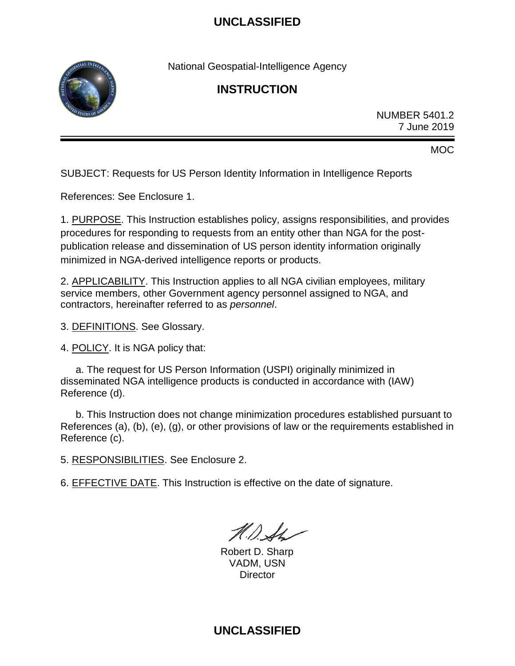

National Geospatial-Intelligence Agency

## **INSTRUCTION**

NUMBER 5401.2 7 June 2019

MOC

SUBJECT: Requests for US Person Identity Information in Intelligence Reports

References: See Enclosure 1.

1. PURPOSE. This Instruction establishes policy, assigns responsibilities, and provides procedures for responding to requests from an entity other than NGA for the postpublication release and dissemination of US person identity information originally minimized in NGA-derived intelligence reports or products.

2. APPLICABILITY. This Instruction applies to all NGA civilian employees, military service members, other Government agency personnel assigned to NGA, and contractors, hereinafter referred to as *personnel*.

3. DEFINITIONS. See Glossary.

4. POLICY. It is NGA policy that:

a. The request for US Person Information (USPI) originally minimized in disseminated NGA intelligence products is conducted in accordance with (IAW) Reference (d).

b. This Instruction does not change minimization procedures established pursuant to References (a), (b), (e), (g), or other provisions of law or the requirements established in Reference (c).

5. RESPONSIBILITIES. See Enclosure 2.

6. EFFECTIVE DATE. This Instruction is effective on the date of signature.

 $N\Lambda$ 

Robert D. Sharp VADM, USN **Director**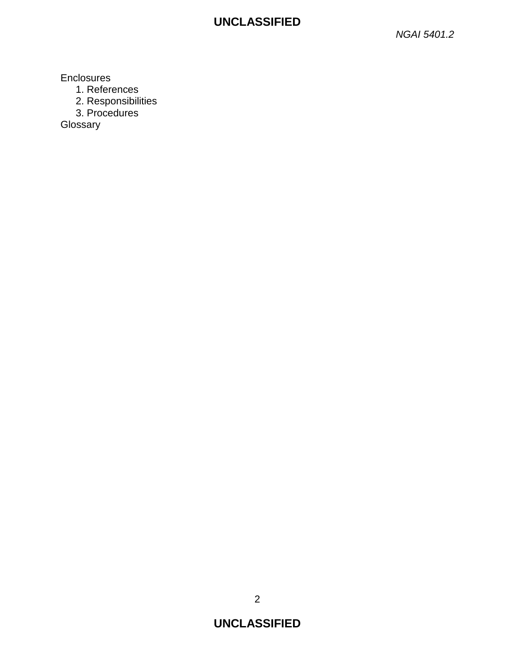*NGAI 5401.2*

**Enclosures** 

- 1. References
- 2. Responsibilities
- 3. Procedures

Glossary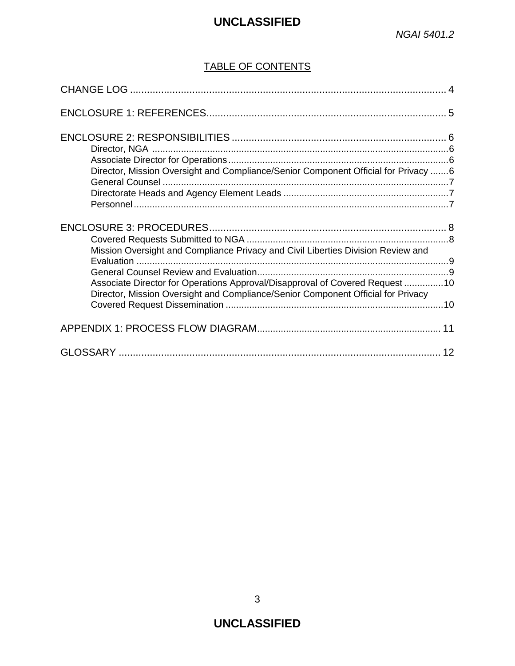### TABLE OF CONTENTS

| Director, Mission Oversight and Compliance/Senior Component Official for Privacy 6                                                                               |  |
|------------------------------------------------------------------------------------------------------------------------------------------------------------------|--|
|                                                                                                                                                                  |  |
| Mission Oversight and Compliance Privacy and Civil Liberties Division Review and<br>Associate Director for Operations Approval/Disapproval of Covered Request 10 |  |
| Director, Mission Oversight and Compliance/Senior Component Official for Privacy                                                                                 |  |
|                                                                                                                                                                  |  |
|                                                                                                                                                                  |  |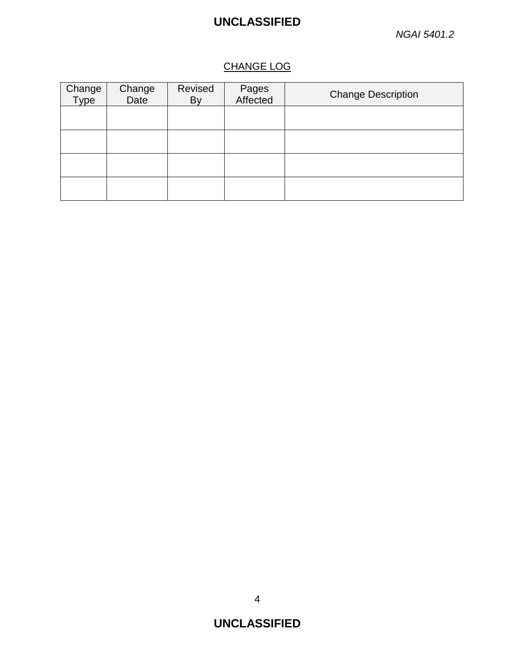### CHANGE LOG

| Change<br>Type | Change<br>Date | Revised<br>By | Pages<br>Affected | <b>Change Description</b> |
|----------------|----------------|---------------|-------------------|---------------------------|
|                |                |               |                   |                           |
|                |                |               |                   |                           |
|                |                |               |                   |                           |
|                |                |               |                   |                           |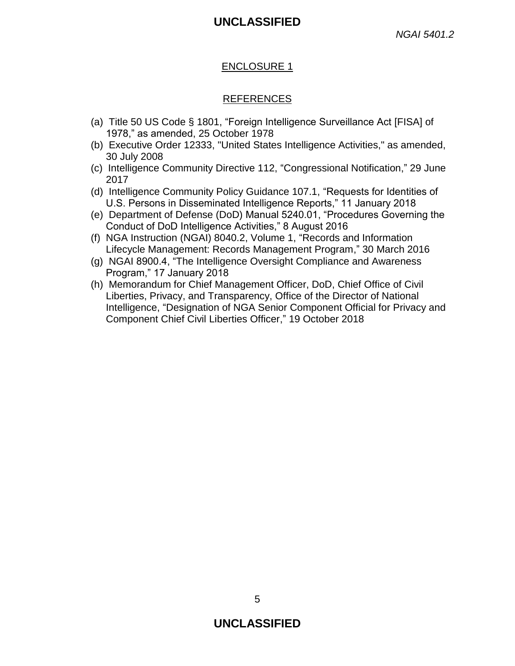#### ENCLOSURE 1

#### REFERENCES

- (a) Title 50 US Code § 1801, "Foreign Intelligence Surveillance Act [FISA] of 1978," as amended, 25 October 1978
- (b) Executive Order 12333, "United States Intelligence Activities," as amended, 30 July 2008
- (c) Intelligence Community Directive 112, "Congressional Notification," 29 June 2017
- (d) Intelligence Community Policy Guidance 107.1, "Requests for Identities of U.S. Persons in Disseminated Intelligence Reports," 11 January 2018
- (e) Department of Defense (DoD) Manual 5240.01, "Procedures Governing the Conduct of DoD Intelligence Activities," 8 August 2016
- (f) NGA Instruction (NGAI) 8040.2, Volume 1, "Records and Information Lifecycle Management: Records Management Program," 30 March 2016
- (g) NGAI 8900.4, "The Intelligence Oversight Compliance and Awareness Program," 17 January 2018
- (h) Memorandum for Chief Management Officer, DoD, Chief Office of Civil Liberties, Privacy, and Transparency, Office of the Director of National Intelligence, "Designation of NGA Senior Component Official for Privacy and Component Chief Civil Liberties Officer," 19 October 2018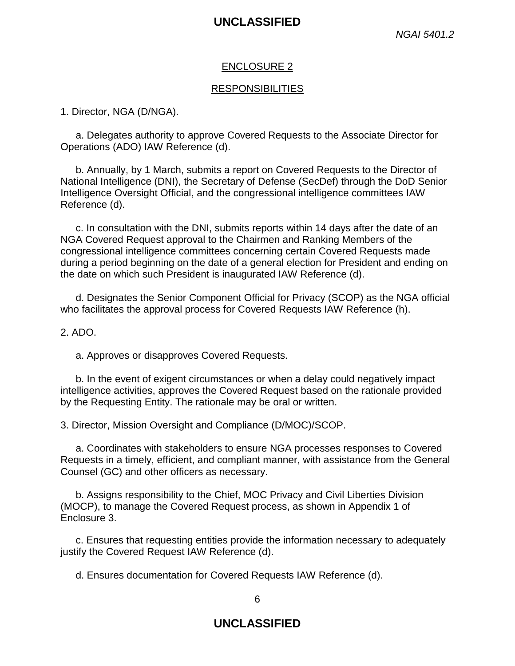#### ENCLOSURE 2

#### **RESPONSIBILITIES**

1. Director, NGA (D/NGA).

a. Delegates authority to approve Covered Requests to the Associate Director for Operations (ADO) IAW Reference (d).

b. Annually, by 1 March, submits a report on Covered Requests to the Director of National Intelligence (DNI), the Secretary of Defense (SecDef) through the DoD Senior Intelligence Oversight Official, and the congressional intelligence committees IAW Reference (d).

c. In consultation with the DNI, submits reports within 14 days after the date of an NGA Covered Request approval to the Chairmen and Ranking Members of the congressional intelligence committees concerning certain Covered Requests made during a period beginning on the date of a general election for President and ending on the date on which such President is inaugurated IAW Reference (d).

d. Designates the Senior Component Official for Privacy (SCOP) as the NGA official who facilitates the approval process for Covered Requests IAW Reference (h).

#### 2. ADO.

a. Approves or disapproves Covered Requests.

b. In the event of exigent circumstances or when a delay could negatively impact intelligence activities, approves the Covered Request based on the rationale provided by the Requesting Entity. The rationale may be oral or written.

3. Director, Mission Oversight and Compliance (D/MOC)/SCOP.

a. Coordinates with stakeholders to ensure NGA processes responses to Covered Requests in a timely, efficient, and compliant manner, with assistance from the General Counsel (GC) and other officers as necessary.

b. Assigns responsibility to the Chief, MOC Privacy and Civil Liberties Division (MOCP), to manage the Covered Request process, as shown in Appendix 1 of Enclosure 3.

c. Ensures that requesting entities provide the information necessary to adequately justify the Covered Request IAW Reference (d).

d. Ensures documentation for Covered Requests IAW Reference (d).

6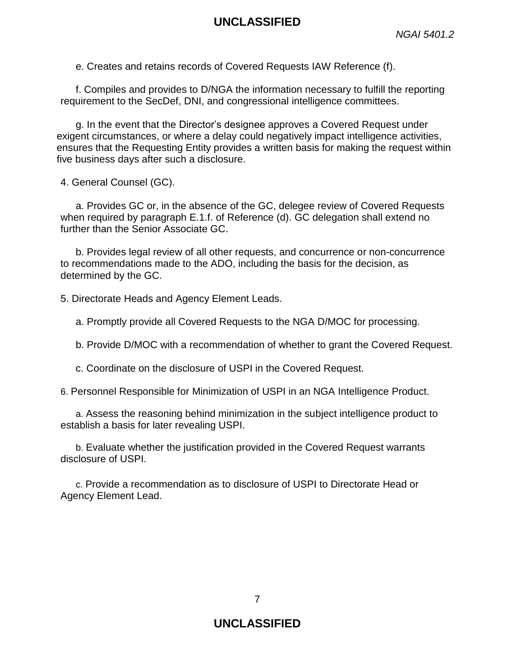e. Creates and retains records of Covered Requests IAW Reference (f).

f. Compiles and provides to D/NGA the information necessary to fulfill the reporting requirement to the SecDef, DNI, and congressional intelligence committees.

g. In the event that the Director's designee approves a Covered Request under exigent circumstances, or where a delay could negatively impact intelligence activities, ensures that the Requesting Entity provides a written basis for making the request within five business days after such a disclosure.

4. General Counsel (GC).

a. Provides GC or, in the absence of the GC, delegee review of Covered Requests when required by paragraph E.1.f. of Reference (d). GC delegation shall extend no further than the Senior Associate GC.

b. Provides legal review of all other requests, and concurrence or non-concurrence to recommendations made to the ADO, including the basis for the decision, as determined by the GC.

5. Directorate Heads and Agency Element Leads.

a. Promptly provide all Covered Requests to the NGA D/MOC for processing.

b. Provide D/MOC with a recommendation of whether to grant the Covered Request.

c. Coordinate on the disclosure of USPI in the Covered Request.

6. Personnel Responsible for Minimization of USPI in an NGA Intelligence Product.

a. Assess the reasoning behind minimization in the subject intelligence product to establish a basis for later revealing USPI.

b. Evaluate whether the justification provided in the Covered Request warrants disclosure of USPI.

c. Provide a recommendation as to disclosure of USPI to Directorate Head or Agency Element Lead.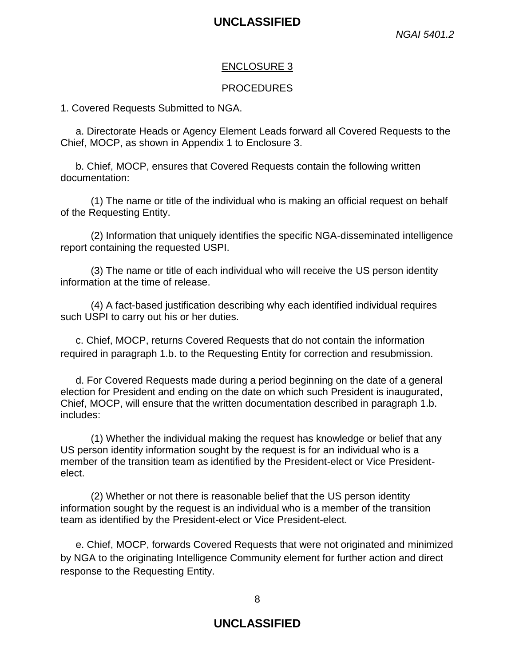#### ENCLOSURE 3

#### PROCEDURES

1. Covered Requests Submitted to NGA.

a. Directorate Heads or Agency Element Leads forward all Covered Requests to the Chief, MOCP, as shown in Appendix 1 to Enclosure 3.

b. Chief, MOCP, ensures that Covered Requests contain the following written documentation:

(1) The name or title of the individual who is making an official request on behalf of the Requesting Entity.

(2) Information that uniquely identifies the specific NGA-disseminated intelligence report containing the requested USPI.

(3) The name or title of each individual who will receive the US person identity information at the time of release.

(4) A fact-based justification describing why each identified individual requires such USPI to carry out his or her duties.

c. Chief, MOCP, returns Covered Requests that do not contain the information required in paragraph 1.b. to the Requesting Entity for correction and resubmission.

d. For Covered Requests made during a period beginning on the date of a general election for President and ending on the date on which such President is inaugurated, Chief, MOCP, will ensure that the written documentation described in paragraph 1.b. includes:

(1) Whether the individual making the request has knowledge or belief that any US person identity information sought by the request is for an individual who is a member of the transition team as identified by the President-elect or Vice Presidentelect.

(2) Whether or not there is reasonable belief that the US person identity information sought by the request is an individual who is a member of the transition team as identified by the President-elect or Vice President-elect.

e. Chief, MOCP, forwards Covered Requests that were not originated and minimized by NGA to the originating Intelligence Community element for further action and direct response to the Requesting Entity.

8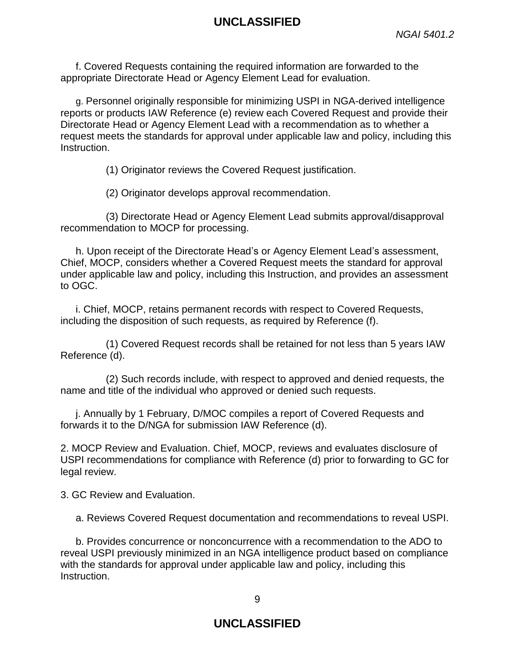f. Covered Requests containing the required information are forwarded to the appropriate Directorate Head or Agency Element Lead for evaluation.

g. Personnel originally responsible for minimizing USPI in NGA-derived intelligence reports or products IAW Reference (e) review each Covered Request and provide their Directorate Head or Agency Element Lead with a recommendation as to whether a request meets the standards for approval under applicable law and policy, including this Instruction.

(1) Originator reviews the Covered Request justification.

(2) Originator develops approval recommendation.

(3) Directorate Head or Agency Element Lead submits approval/disapproval recommendation to MOCP for processing.

h. Upon receipt of the Directorate Head's or Agency Element Lead's assessment, Chief, MOCP, considers whether a Covered Request meets the standard for approval under applicable law and policy, including this Instruction, and provides an assessment to OGC.

i. Chief, MOCP, retains permanent records with respect to Covered Requests, including the disposition of such requests, as required by Reference (f).

(1) Covered Request records shall be retained for not less than 5 years IAW Reference (d).

(2) Such records include, with respect to approved and denied requests, the name and title of the individual who approved or denied such requests.

j. Annually by 1 February, D/MOC compiles a report of Covered Requests and forwards it to the D/NGA for submission IAW Reference (d).

2. MOCP Review and Evaluation. Chief, MOCP, reviews and evaluates disclosure of USPI recommendations for compliance with Reference (d) prior to forwarding to GC for legal review.

3. GC Review and Evaluation.

a. Reviews Covered Request documentation and recommendations to reveal USPI.

b. Provides concurrence or nonconcurrence with a recommendation to the ADO to reveal USPI previously minimized in an NGA intelligence product based on compliance with the standards for approval under applicable law and policy, including this Instruction.

9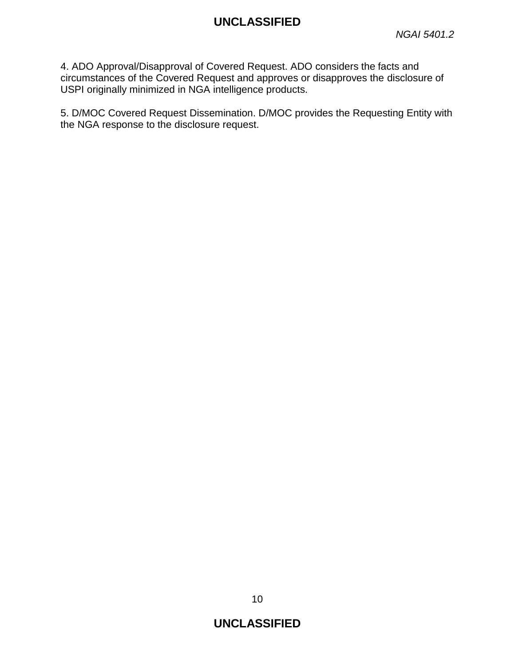4. ADO Approval/Disapproval of Covered Request. ADO considers the facts and circumstances of the Covered Request and approves or disapproves the disclosure of USPI originally minimized in NGA intelligence products.

5. D/MOC Covered Request Dissemination. D/MOC provides the Requesting Entity with the NGA response to the disclosure request.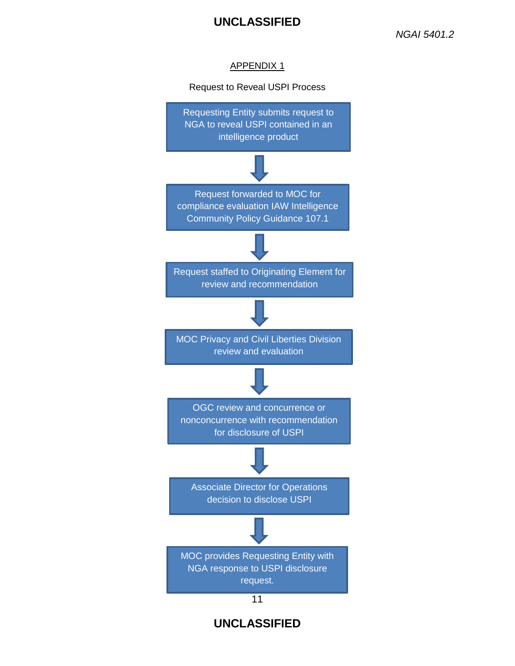#### APPENDIX 1